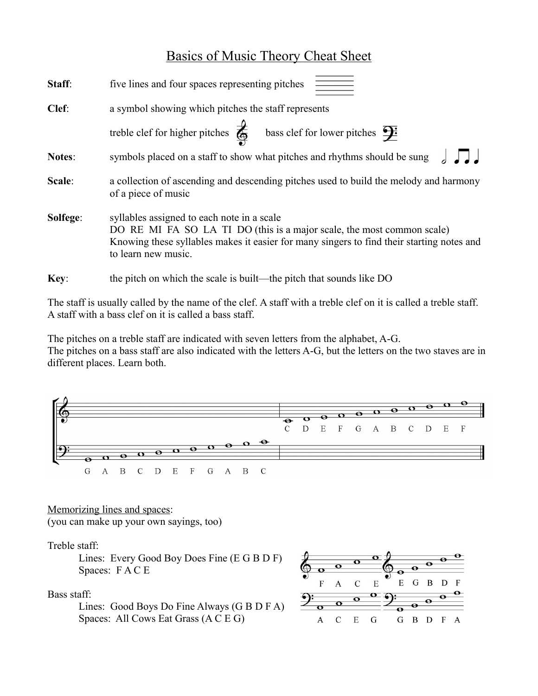## Basics of Music Theory Cheat Sheet

| Staff:   | an an Dùbhlach<br>An Aonaichean<br>An Aonaichean<br>five lines and four spaces representing pitches                                                                                                                                      |
|----------|------------------------------------------------------------------------------------------------------------------------------------------------------------------------------------------------------------------------------------------|
| Clef:    | a symbol showing which pitches the staff represents                                                                                                                                                                                      |
|          | treble clef for higher pitches $\overrightarrow{\bigoplus}$ bass clef for lower pitches $\overrightarrow{\mathbf{F}}$                                                                                                                    |
| Notes:   | symbols placed on a staff to show what pitches and rhythms should be sung                                                                                                                                                                |
| Scale:   | a collection of ascending and descending pitches used to build the melody and harmony<br>of a piece of music                                                                                                                             |
| Solfege: | syllables assigned to each note in a scale<br>DO RE MI FA SO LA TI DO (this is a major scale, the most common scale)<br>Knowing these syllables makes it easier for many singers to find their starting notes and<br>to learn new music. |
| Key:     | the pitch on which the scale is built—the pitch that sounds like DO                                                                                                                                                                      |

The staff is usually called by the name of the clef. A staff with a treble clef on it is called a treble staff. A staff with a bass clef on it is called a bass staff.

The pitches on a treble staff are indicated with seven letters from the alphabet, A-G. The pitches on a bass staff are also indicated with the letters A-G, but the letters on the two staves are in different places. Learn both.



Memorizing lines and spaces: (you can make up your own sayings, too)

## Treble staff:

Lines: Every Good Boy Does Fine (E G B D F) Spaces: F A C E

Bass staff:

Lines: Good Boys Do Fine Always (G B D F A) Spaces: All Cows Eat Grass (A C E G)